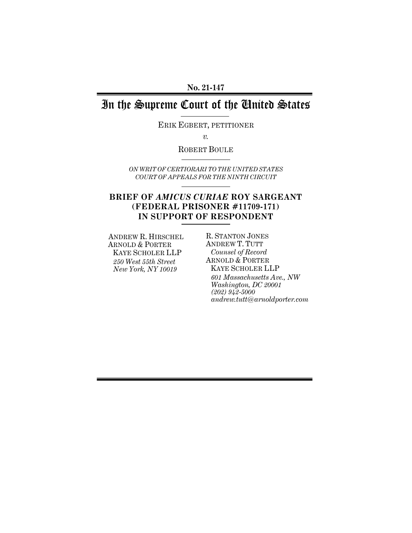### **No. 21-147**

# In the Supreme Court of the United States

ERIK EGBERT, PETITIONER

*v.* 

ROBERT BOULE

*ON WRIT OF CERTIORARI TO THE UNITED STATES COURT OF APPEALS FOR THE NINTH CIRCUIT*

## **BRIEF OF** *AMICUS CURIAE* **ROY SARGEANT (FEDERAL PRISONER #11709-171) IN SUPPORT OF RESPONDENT**

ANDREW R. HIRSCHEL ARNOLD & PORTER KAYE SCHOLER LLP *250 West 55th Street New York, NY 10019* 

R. STANTON JONES ANDREW T. TUTT *Counsel of Record*  ARNOLD & PORTER KAYE SCHOLER LLP *601 Massachusetts Ave., NW Washington, DC 20001 (202) 942-5000 andrew.tutt@arnoldporter.com*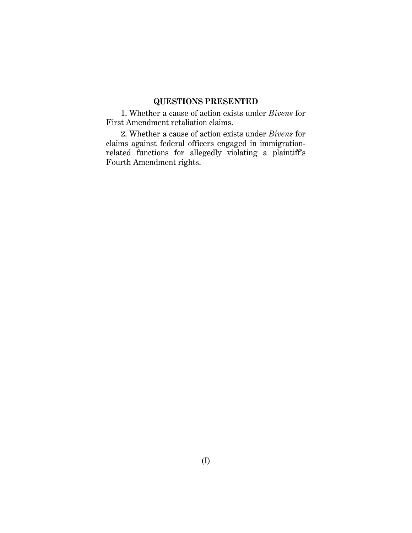## **QUESTIONS PRESENTED**

1. Whether a cause of action exists under *Bivens* for First Amendment retaliation claims.

2. Whether a cause of action exists under *Bivens* for claims against federal officers engaged in immigrationrelated functions for allegedly violating a plaintiff's Fourth Amendment rights.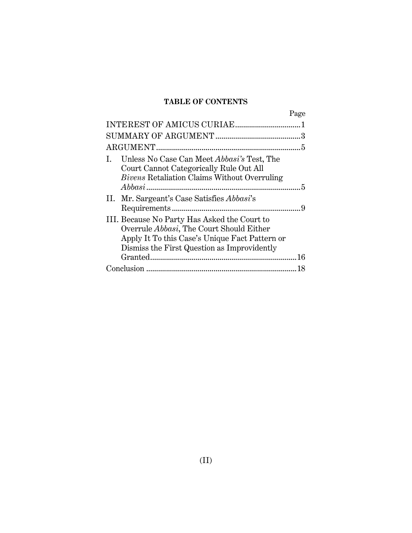## **TABLE OF CONTENTS**

|                                                                                                                                                                                           | Page |
|-------------------------------------------------------------------------------------------------------------------------------------------------------------------------------------------|------|
|                                                                                                                                                                                           |      |
|                                                                                                                                                                                           | 3    |
|                                                                                                                                                                                           | 5    |
| Unless No Case Can Meet <i>Abbasi's</i> Test, The<br>I.<br>Court Cannot Categorically Rule Out All<br><i>Bivens</i> Retaliation Claims Without Overruling                                 | 5    |
| II. Mr. Sargeant's Case Satisfies <i>Abbasi's</i>                                                                                                                                         | 9    |
| III. Because No Party Has Asked the Court to<br>Overrule Abbasi, The Court Should Either<br>Apply It To this Case's Unique Fact Pattern or<br>Dismiss the First Question as Improvidently |      |
|                                                                                                                                                                                           |      |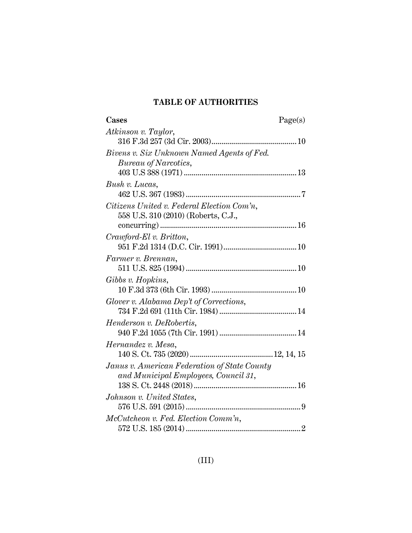## **TABLE OF AUTHORITIES**

| Cases                                                                             | Page(s) |
|-----------------------------------------------------------------------------------|---------|
| Atkinson v. Taylor,                                                               |         |
|                                                                                   |         |
| Bivens v. Six Unknown Named Agents of Fed.                                        |         |
| Bureau of Narcotics,                                                              |         |
|                                                                                   |         |
| Bush v. Lucas,                                                                    |         |
|                                                                                   |         |
| Citizens United v. Federal Election Com'n,<br>558 U.S. 310 (2010) (Roberts, C.J., |         |
|                                                                                   |         |
| Crawford-El v. Britton,                                                           |         |
|                                                                                   |         |
| Farmer v. Brennan,                                                                |         |
|                                                                                   |         |
| Gibbs v. Hopkins,                                                                 |         |
| Glover v. Alabama Dep't of Corrections,                                           |         |
|                                                                                   |         |
|                                                                                   |         |
| <i>Henderson v. DeRobertis,</i>                                                   |         |
|                                                                                   |         |
| Hernandez v. Mesa,                                                                |         |
|                                                                                   |         |
| Janus v. American Federation of State County                                      |         |
| and Municipal Employees, Council 31,                                              |         |
|                                                                                   |         |
| Johnson v. United States,                                                         |         |
|                                                                                   |         |
| McCutcheon v. Fed. Election Comm'n,                                               |         |
|                                                                                   |         |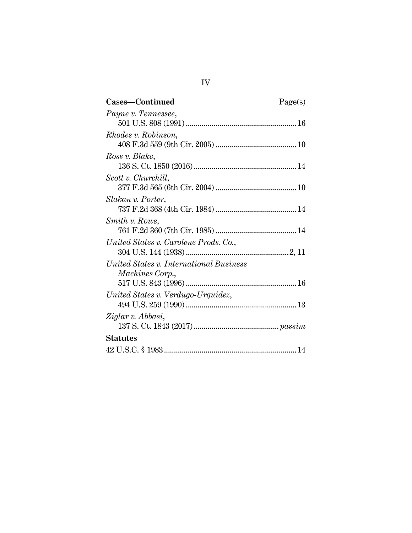| Cases—Continued                         | Page(s) |
|-----------------------------------------|---------|
| Payne v. Tennessee,                     |         |
|                                         |         |
| <i>Rhodes v. Robinson,</i>              |         |
|                                         |         |
| Ross v. Blake,                          |         |
|                                         |         |
| Scott v. Churchill,                     |         |
|                                         |         |
| Slakan v. Porter,                       |         |
|                                         |         |
| Smith v. Rowe,                          |         |
|                                         |         |
| United States v. Carolene Prods. Co.,   |         |
|                                         |         |
| United States v. International Business |         |
| <i>Machines Corp.,</i>                  |         |
|                                         |         |
| United States v. Verdugo-Urquidez,      |         |
|                                         |         |
| Ziglar v. Abbasi,                       |         |
|                                         |         |
| <b>Statutes</b>                         |         |
|                                         |         |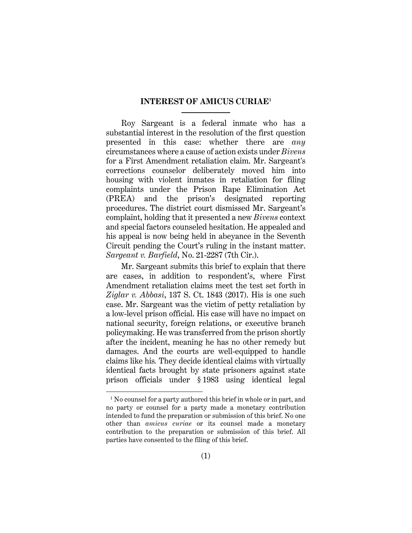### **INTEREST OF AMICUS CURIAE1**

Roy Sargeant is a federal inmate who has a substantial interest in the resolution of the first question presented in this case: whether there are *any*  circumstances where a cause of action exists under *Bivens* for a First Amendment retaliation claim. Mr. Sargeant's corrections counselor deliberately moved him into housing with violent inmates in retaliation for filing complaints under the Prison Rape Elimination Act (PREA) and the prison's designated reporting procedures. The district court dismissed Mr. Sargeant's complaint, holding that it presented a new *Bivens* context and special factors counseled hesitation. He appealed and his appeal is now being held in abeyance in the Seventh Circuit pending the Court's ruling in the instant matter. *Sargeant v. Barfield*, No. 21-2287 (7th Cir.).

Mr. Sargeant submits this brief to explain that there are cases, in addition to respondent's, where First Amendment retaliation claims meet the test set forth in *Ziglar v. Abbasi*, 137 S. Ct. 1843 (2017). His is one such case. Mr. Sargeant was the victim of petty retaliation by a low-level prison official. His case will have no impact on national security, foreign relations, or executive branch policymaking. He was transferred from the prison shortly after the incident, meaning he has no other remedy but damages. And the courts are well-equipped to handle claims like his*.* They decide identical claims with virtually identical facts brought by state prisoners against state prison officials under § 1983 using identical legal

<sup>&</sup>lt;sup>1</sup> No counsel for a party authored this brief in whole or in part, and no party or counsel for a party made a monetary contribution intended to fund the preparation or submission of this brief. No one other than *amicus curiae* or its counsel made a monetary contribution to the preparation or submission of this brief. All parties have consented to the filing of this brief.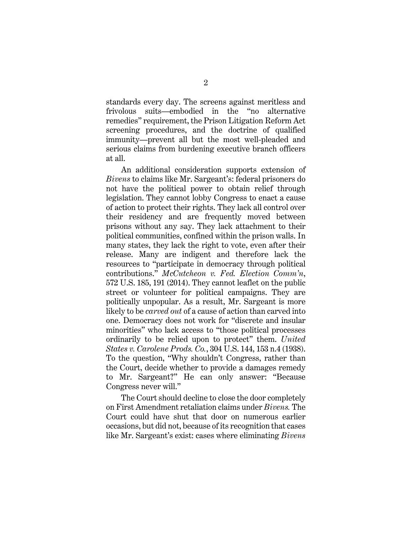standards every day. The screens against meritless and frivolous suits—embodied in the "no alternative remedies" requirement, the Prison Litigation Reform Act screening procedures, and the doctrine of qualified immunity—prevent all but the most well-pleaded and serious claims from burdening executive branch officers at all.

An additional consideration supports extension of *Bivens* to claims like Mr. Sargeant's: federal prisoners do not have the political power to obtain relief through legislation. They cannot lobby Congress to enact a cause of action to protect their rights. They lack all control over their residency and are frequently moved between prisons without any say. They lack attachment to their political communities, confined within the prison walls. In many states, they lack the right to vote, even after their release. Many are indigent and therefore lack the resources to "participate in democracy through political contributions." *McCutcheon v. Fed. Election Comm'n*, 572 U.S. 185, 191 (2014). They cannot leaflet on the public street or volunteer for political campaigns. They are politically unpopular. As a result, Mr. Sargeant is more likely to be *carved out* of a cause of action than carved into one. Democracy does not work for "discrete and insular minorities" who lack access to "those political processes ordinarily to be relied upon to protect" them. *United States v. Carolene Prods. Co.*, 304 U.S. 144, 153 n.4 (1938). To the question, "Why shouldn't Congress, rather than the Court, decide whether to provide a damages remedy to Mr. Sargeant?" He can only answer: "Because Congress never will."

The Court should decline to close the door completely on First Amendment retaliation claims under *Bivens.* The Court could have shut that door on numerous earlier occasions, but did not, because of its recognition that cases like Mr. Sargeant's exist: cases where eliminating *Bivens*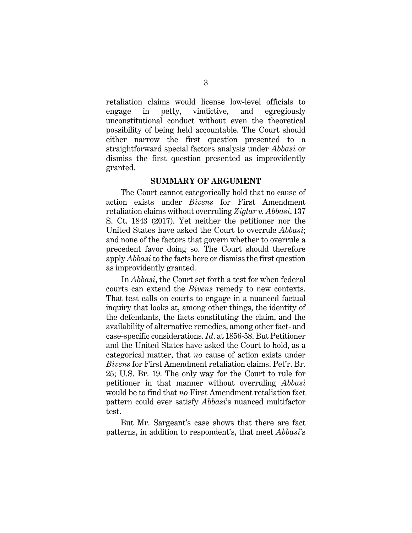retaliation claims would license low-level officials to engage in petty, vindictive, and egregiously unconstitutional conduct without even the theoretical possibility of being held accountable. The Court should either narrow the first question presented to a straightforward special factors analysis under *Abbasi* or dismiss the first question presented as improvidently granted.

#### **SUMMARY OF ARGUMENT**

The Court cannot categorically hold that no cause of action exists under *Bivens* for First Amendment retaliation claims without overruling *Ziglar v. Abbasi*, 137 S. Ct. 1843 (2017). Yet neither the petitioner nor the United States have asked the Court to overrule *Abbasi*; and none of the factors that govern whether to overrule a precedent favor doing so. The Court should therefore apply *Abbasi* to the facts here or dismiss the first question as improvidently granted.

In *Abbasi*, the Court set forth a test for when federal courts can extend the *Bivens* remedy to new contexts. That test calls on courts to engage in a nuanced factual inquiry that looks at, among other things, the identity of the defendants, the facts constituting the claim, and the availability of alternative remedies, among other fact- and case-specific considerations. *Id*. at 1856-58. But Petitioner and the United States have asked the Court to hold, as a categorical matter, that *no* cause of action exists under *Bivens* for First Amendment retaliation claims. Pet'r. Br. 25; U.S. Br. 19. The only way for the Court to rule for petitioner in that manner without overruling *Abbasi* would be to find that *no* First Amendment retaliation fact pattern could ever satisfy *Abbasi*'s nuanced multifactor test.

But Mr. Sargeant's case shows that there are fact patterns, in addition to respondent's, that meet *Abbasi*'s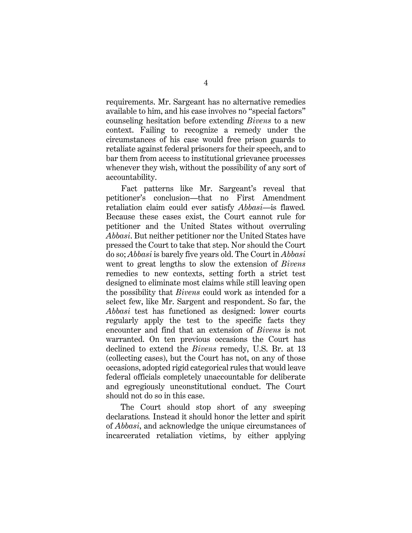requirements. Mr. Sargeant has no alternative remedies available to him, and his case involves no "special factors" counseling hesitation before extending *Bivens* to a new context. Failing to recognize a remedy under the circumstances of his case would free prison guards to retaliate against federal prisoners for their speech, and to bar them from access to institutional grievance processes whenever they wish, without the possibility of any sort of accountability.

Fact patterns like Mr. Sargeant's reveal that petitioner's conclusion—that no First Amendment retaliation claim could ever satisfy *Abbasi—*is flawed*.*  Because these cases exist, the Court cannot rule for petitioner and the United States without overruling *Abbasi*. But neither petitioner nor the United States have pressed the Court to take that step. Nor should the Court do so; *Abbasi* is barely five years old. The Court in *Abbasi*  went to great lengths to slow the extension of *Bivens*  remedies to new contexts, setting forth a strict test designed to eliminate most claims while still leaving open the possibility that *Bivens* could work as intended for a select few, like Mr. Sargent and respondent. So far, the *Abbasi* test has functioned as designed: lower courts regularly apply the test to the specific facts they encounter and find that an extension of *Bivens* is not warranted. On ten previous occasions the Court has declined to extend the *Bivens* remedy, U.S. Br. at 13 (collecting cases), but the Court has not, on any of those occasions, adopted rigid categorical rules that would leave federal officials completely unaccountable for deliberate and egregiously unconstitutional conduct. The Court should not do so in this case.

The Court should stop short of any sweeping declarations*.* Instead it should honor the letter and spirit of *Abbasi*, and acknowledge the unique circumstances of incarcerated retaliation victims, by either applying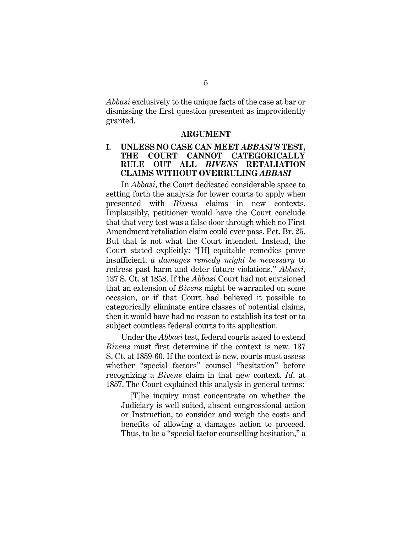*Abbasi* exclusively to the unique facts of the case at bar or dismissing the first question presented as improvidently granted.

#### **ARGUMENT**

### **I. UNLESS NO CASE CAN MEET** *ABBASI'S* **TEST, THE COURT CANNOT CATEGORICALLY RULE OUT ALL** *BIVENS* **RETALIATION CLAIMS WITHOUT OVERRULING** *ABBASI*

In *Abbasi*, the Court dedicated considerable space to setting forth the analysis for lower courts to apply when presented with *Bivens* claims in new contexts. Implausibly, petitioner would have the Court conclude that that very test was a false door through which no First Amendment retaliation claim could ever pass. Pet. Br. 25. But that is not what the Court intended. Instead, the Court stated explicitly: "[If] equitable remedies prove insufficient, *a damages remedy might be necessary* to redress past harm and deter future violations." *Abbasi*, 137 S. Ct. at 1858. If the *Abbasi* Court had not envisioned that an extension of *Bivens* might be warranted on some occasion, or if that Court had believed it possible to categorically eliminate entire classes of potential claims, then it would have had no reason to establish its test or to subject countless federal courts to its application.

Under the *Abbasi* test, federal courts asked to extend *Bivens* must first determine if the context is new. 137 S. Ct. at 1859-60. If the context is new, courts must assess whether "special factors" counsel "hesitation" before recognizing a *Bivens* claim in that new context. *Id*. at 1857. The Court explained this analysis in general terms:

[T]he inquiry must concentrate on whether the Judiciary is well suited, absent congressional action or Instruction, to consider and weigh the costs and benefits of allowing a damages action to proceed. Thus, to be a "special factor counselling hesitation," a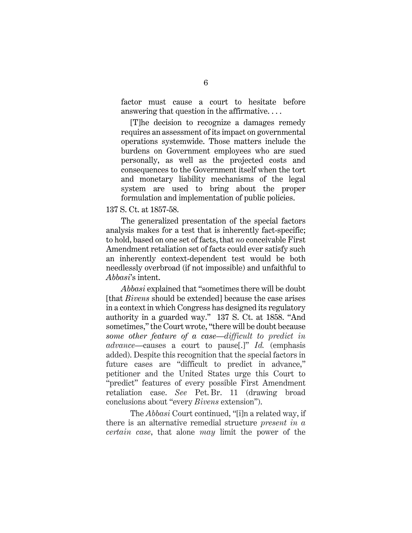factor must cause a court to hesitate before answering that question in the affirmative. . . .

[T]he decision to recognize a damages remedy requires an assessment of its impact on governmental operations systemwide. Those matters include the burdens on Government employees who are sued personally, as well as the projected costs and consequences to the Government itself when the tort and monetary liability mechanisms of the legal system are used to bring about the proper formulation and implementation of public policies.

137 S. Ct. at 1857-58.

The generalized presentation of the special factors analysis makes for a test that is inherently fact-specific; to hold, based on one set of facts, that *no* conceivable First Amendment retaliation set of facts could ever satisfy such an inherently context-dependent test would be both needlessly overbroad (if not impossible) and unfaithful to *Abbasi*'s intent.

*Abbasi* explained that "sometimes there will be doubt [that *Bivens* should be extended] because the case arises in a context in which Congress has designed its regulatory authority in a guarded way." 137 S. Ct. at 1858. "And sometimes," the Court wrote, "there will be doubt because *some other feature of a case*—*difficult to predict in advance*—causes a court to pause[.]" *Id.* (emphasis added). Despite this recognition that the special factors in future cases are "difficult to predict in advance," petitioner and the United States urge this Court to "predict" features of every possible First Amendment retaliation case. *See* Pet. Br. 11 (drawing broad conclusions about "every *Bivens* extension").

The *Abbasi* Court continued, "[i]n a related way, if there is an alternative remedial structure *present in a certain case*, that alone *may* limit the power of the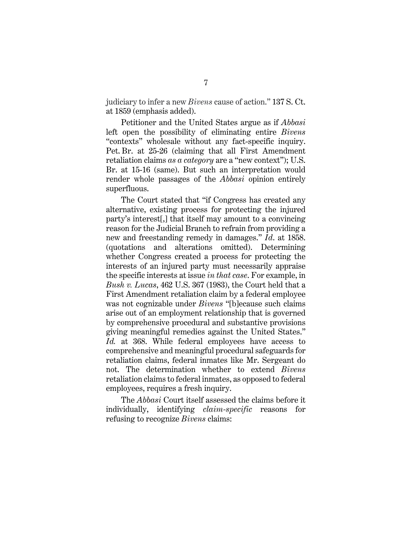judiciary to infer a new *Bivens* cause of action." 137 S. Ct. at 1859 (emphasis added).

Petitioner and the United States argue as if *Abbasi* left open the possibility of eliminating entire *Bivens*  "contexts" wholesale without any fact-specific inquiry. Pet. Br. at 25-26 (claiming that all First Amendment retaliation claims *as a category* are a "new context"); U.S. Br. at 15-16 (same). But such an interpretation would render whole passages of the *Abbasi* opinion entirely superfluous.

The Court stated that "if Congress has created any alternative, existing process for protecting the injured party's interest[,] that itself may amount to a convincing reason for the Judicial Branch to refrain from providing a new and freestanding remedy in damages." *Id*. at 1858. (quotations and alterations omitted). Determining whether Congress created a process for protecting the interests of an injured party must necessarily appraise the specific interests at issue *in that case*. For example, in *Bush v. Lucas*, 462 U.S. 367 (1983), the Court held that a First Amendment retaliation claim by a federal employee was not cognizable under *Bivens* "[b]ecause such claims arise out of an employment relationship that is governed by comprehensive procedural and substantive provisions giving meaningful remedies against the United States." *Id.* at 368. While federal employees have access to comprehensive and meaningful procedural safeguards for retaliation claims, federal inmates like Mr. Sergeant do not. The determination whether to extend *Bivens*  retaliation claims to federal inmates, as opposed to federal employees, requires a fresh inquiry.

The *Abbasi* Court itself assessed the claims before it individually, identifying *claim-specific* reasons for refusing to recognize *Bivens* claims: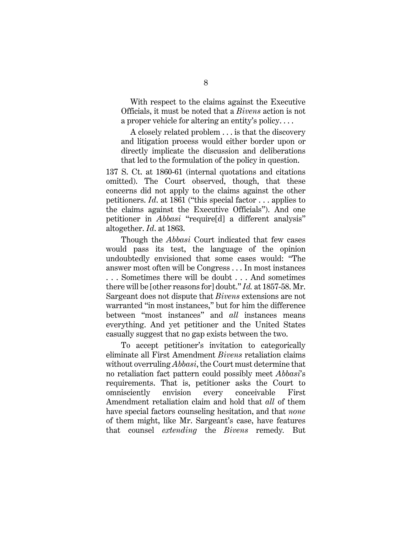With respect to the claims against the Executive Officials, it must be noted that a *Bivens* action is not a proper vehicle for altering an entity's policy. . . .

A closely related problem . . . is that the discovery and litigation process would either border upon or directly implicate the discussion and deliberations that led to the formulation of the policy in question.

137 S. Ct. at 1860-61 (internal quotations and citations omitted). The Court observed, though, that these concerns did not apply to the claims against the other petitioners. *Id*. at 1861 ("this special factor . . . applies to the claims against the Executive Officials"). And one petitioner in *Abbasi* "require[d] a different analysis" altogether. *Id*. at 1863.

Though the *Abbasi* Court indicated that few cases would pass its test, the language of the opinion undoubtedly envisioned that some cases would: "The answer most often will be Congress . . . In most instances . . . Sometimes there will be doubt . . . And sometimes there will be [other reasons for] doubt." *Id.* at 1857-58. Mr. Sargeant does not dispute that *Bivens* extensions are not warranted "in most instances," but for him the difference between "most instances" and *all* instances means everything. And yet petitioner and the United States casually suggest that no gap exists between the two.

To accept petitioner's invitation to categorically eliminate all First Amendment *Bivens* retaliation claims without overruling *Abbasi*, the Court must determine that no retaliation fact pattern could possibly meet *Abbasi*'s requirements. That is, petitioner asks the Court to omnisciently envision every conceivable First Amendment retaliation claim and hold that *all* of them have special factors counseling hesitation, and that *none* of them might, like Mr. Sargeant's case, have features that counsel *extending* the *Bivens* remedy*.* But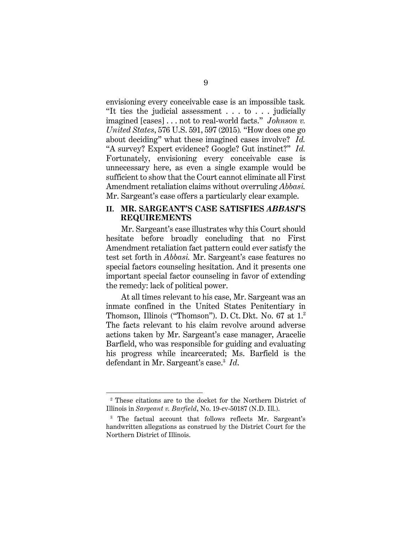envisioning every conceivable case is an impossible task*.*  "It ties the judicial assessment . . . to . . . judicially imagined [cases] . . . not to real-world facts." *Johnson v. United States*, 576 U.S. 591, 597 (2015)*.* "How does one go about deciding" what these imagined cases involve? *Id.*  "A survey? Expert evidence? Google? Gut instinct?" *Id.*  Fortunately, envisioning every conceivable case is unnecessary here, as even a single example would be sufficient to show that the Court cannot eliminate all First Amendment retaliation claims without overruling *Abbasi.*  Mr. Sargeant's case offers a particularly clear example.

#### **II. MR. SARGEANT'S CASE SATISFIES** *ABBASI***'S REQUIREMENTS**

Mr. Sargeant's case illustrates why this Court should hesitate before broadly concluding that no First Amendment retaliation fact pattern could ever satisfy the test set forth in *Abbasi.* Mr. Sargeant's case features no special factors counseling hesitation. And it presents one important special factor counseling in favor of extending the remedy: lack of political power.

At all times relevant to his case, Mr. Sargeant was an inmate confined in the United States Penitentiary in Thomson, Illinois ("Thomson"). D. Ct. Dkt. No. 67 at 1.2 The facts relevant to his claim revolve around adverse actions taken by Mr. Sargeant's case manager, Aracelie Barfield, who was responsible for guiding and evaluating his progress while incarcerated; Ms. Barfield is the defendant in Mr. Sargeant's case.3 *Id*.

<sup>2</sup> These citations are to the docket for the Northern District of Illinois in *Sargeant v. Barfield*, No. 19-cv-50187 (N.D. Ill.).

<sup>&</sup>lt;sup>3</sup> The factual account that follows reflects Mr. Sargeant's handwritten allegations as construed by the District Court for the Northern District of Illinois.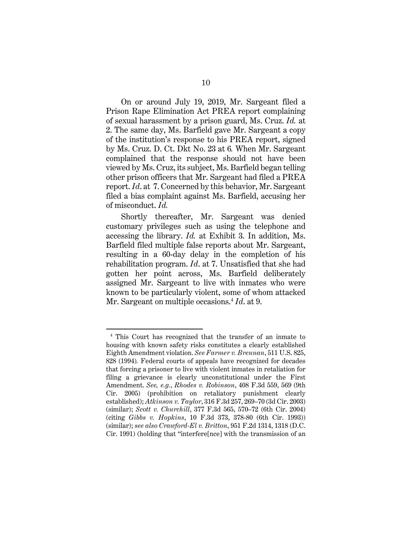On or around July 19, 2019, Mr. Sargeant filed a Prison Rape Elimination Act PREA report complaining of sexual harassment by a prison guard, Ms. Cruz. *Id.* at 2. The same day, Ms. Barfield gave Mr. Sargeant a copy of the institution's response to his PREA report, signed by Ms. Cruz. D. Ct. Dkt No. 23 at 6*.* When Mr. Sargeant complained that the response should not have been viewed by Ms. Cruz, its subject, Ms. Barfield began telling other prison officers that Mr. Sargeant had filed a PREA report. *Id*. at 7. Concerned by this behavior, Mr. Sargeant filed a bias complaint against Ms. Barfield, accusing her of misconduct. *Id.*

Shortly thereafter, Mr. Sargeant was denied customary privileges such as using the telephone and accessing the library. *Id.* at Exhibit 3. In addition, Ms. Barfield filed multiple false reports about Mr. Sargeant, resulting in a 60-day delay in the completion of his rehabilitation program. *Id*. at 7. Unsatisfied that she had gotten her point across, Ms. Barfield deliberately assigned Mr. Sargeant to live with inmates who were known to be particularly violent, some of whom attacked Mr. Sargeant on multiple occasions.<sup>4</sup> *Id.* at 9.

<sup>4</sup> This Court has recognized that the transfer of an inmate to housing with known safety risks constitutes a clearly established Eighth Amendment violation. *See Farmer v. Brennan*, 511 U.S. 825, 828 (1994)*.* Federal courts of appeals have recognized for decades that forcing a prisoner to live with violent inmates in retaliation for filing a grievance is clearly unconstitutional under the First Amendment. *See, e.g.*, *Rhodes v. Robinson*, 408 F.3d 559, 569 (9th Cir. 2005) (prohibition on retaliatory punishment clearly established); *Atkinson v. Taylor*, 316 F.3d 257, 269–70 (3d Cir. 2003) (similar); *Scott v. Churchill*, 377 F.3d 565, 570–72 (6th Cir. 2004) (citing *Gibbs v. Hopkins*, 10 F.3d 373, 378-80 (6th Cir. 1993)) (similar); *see also Crawford-El v. Britton*, 951 F.2d 1314, 1318 (D.C. Cir. 1991) (holding that "interfere[nce] with the transmission of an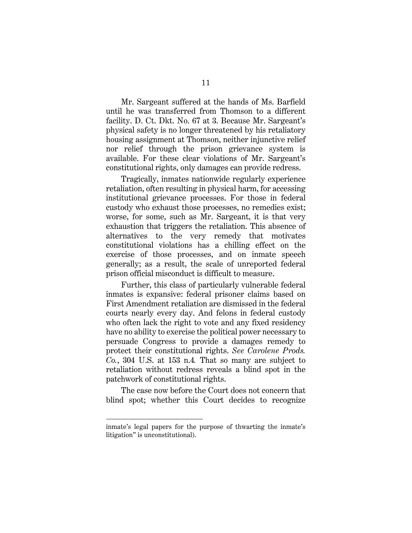Mr. Sargeant suffered at the hands of Ms. Barfield until he was transferred from Thomson to a different facility. D. Ct. Dkt. No. 67 at 3. Because Mr. Sargeant's physical safety is no longer threatened by his retaliatory housing assignment at Thomson, neither injunctive relief nor relief through the prison grievance system is available. For these clear violations of Mr. Sargeant's constitutional rights, only damages can provide redress.

Tragically, inmates nationwide regularly experience retaliation, often resulting in physical harm, for accessing institutional grievance processes. For those in federal custody who exhaust those processes, no remedies exist; worse, for some, such as Mr. Sargeant, it is that very exhaustion that triggers the retaliation. This absence of alternatives to the very remedy that motivates constitutional violations has a chilling effect on the exercise of those processes, and on inmate speech generally; as a result, the scale of unreported federal prison official misconduct is difficult to measure.

Further, this class of particularly vulnerable federal inmates is expansive: federal prisoner claims based on First Amendment retaliation are dismissed in the federal courts nearly every day. And felons in federal custody who often lack the right to vote and any fixed residency have no ability to exercise the political power necessary to persuade Congress to provide a damages remedy to protect their constitutional rights. *See Carolene Prods. Co.*, 304 U.S. at 153 n.4*.* That so many are subject to retaliation without redress reveals a blind spot in the patchwork of constitutional rights.

The case now before the Court does not concern that blind spot; whether this Court decides to recognize

inmate's legal papers for the purpose of thwarting the inmate's litigation" is unconstitutional).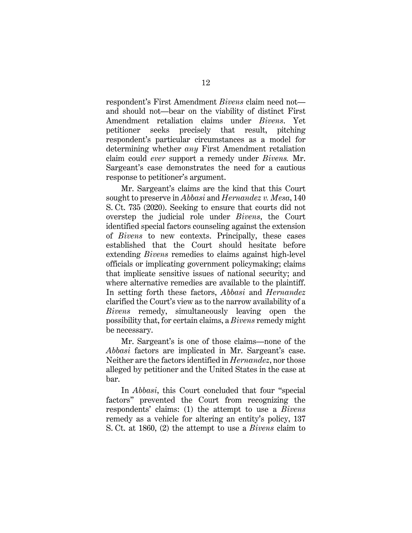respondent's First Amendment *Bivens* claim need not and should not—bear on the viability of distinct First Amendment retaliation claims under *Bivens*. Yet petitioner seeks precisely that result, pitching respondent's particular circumstances as a model for determining whether *any* First Amendment retaliation claim could *ever* support a remedy under *Bivens.* Mr. Sargeant's case demonstrates the need for a cautious response to petitioner's argument.

Mr. Sargeant's claims are the kind that this Court sought to preserve in *Abbasi* and *Hernandez v. Mesa*, 140 S. Ct. 735 (2020). Seeking to ensure that courts did not overstep the judicial role under *Bivens*, the Court identified special factors counseling against the extension of *Bivens* to new contexts. Principally, these cases established that the Court should hesitate before extending *Bivens* remedies to claims against high-level officials or implicating government policymaking; claims that implicate sensitive issues of national security; and where alternative remedies are available to the plaintiff. In setting forth these factors, *Abbasi* and *Hernandez*  clarified the Court's view as to the narrow availability of a *Bivens* remedy, simultaneously leaving open the possibility that, for certain claims, a *Bivens* remedy might be necessary.

Mr. Sargeant's is one of those claims—none of the *Abbasi* factors are implicated in Mr. Sargeant's case. Neither are the factors identified in *Hernandez*, nor those alleged by petitioner and the United States in the case at bar.

In *Abbasi*, this Court concluded that four "special factors" prevented the Court from recognizing the respondents' claims: (1) the attempt to use a *Bivens* remedy as a vehicle for altering an entity's policy, 137 S. Ct. at 1860, (2) the attempt to use a *Bivens* claim to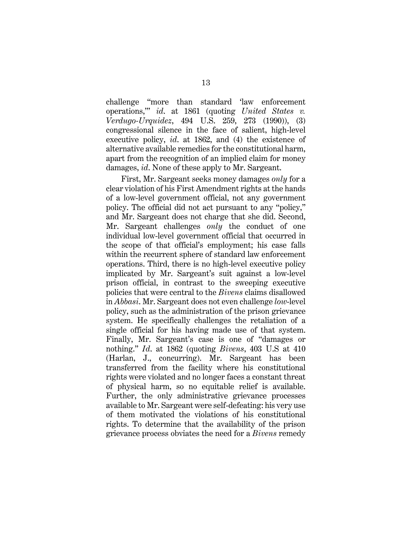challenge "more than standard 'law enforcement operations,'" *id*. at 1861 (quoting *United States v. Verdugo-Urquidez*, 494 U.S. 259, 273 (1990)), (3) congressional silence in the face of salient, high-level executive policy, *id*. at 1862, and (4) the existence of alternative available remedies for the constitutional harm, apart from the recognition of an implied claim for money damages, *id*. None of these apply to Mr. Sargeant.

First, Mr. Sargeant seeks money damages *only* for a clear violation of his First Amendment rights at the hands of a low-level government official, not any government policy. The official did not act pursuant to any "policy," and Mr. Sargeant does not charge that she did. Second, Mr. Sargeant challenges *only* the conduct of one individual low-level government official that occurred in the scope of that official's employment; his case falls within the recurrent sphere of standard law enforcement operations. Third, there is no high-level executive policy implicated by Mr. Sargeant's suit against a low-level prison official, in contrast to the sweeping executive policies that were central to the *Bivens* claims disallowed in *Abbasi*. Mr. Sargeant does not even challenge *low*-level policy, such as the administration of the prison grievance system. He specifically challenges the retaliation of a single official for his having made use of that system. Finally, Mr. Sargeant's case is one of "damages or nothing." *Id*. at 1862 (quoting *Bivens*, 403 U.S at 410 (Harlan, J., concurring). Mr. Sargeant has been transferred from the facility where his constitutional rights were violated and no longer faces a constant threat of physical harm, so no equitable relief is available. Further, the only administrative grievance processes available to Mr. Sargeant were self-defeating: his very use of them motivated the violations of his constitutional rights. To determine that the availability of the prison grievance process obviates the need for a *Bivens* remedy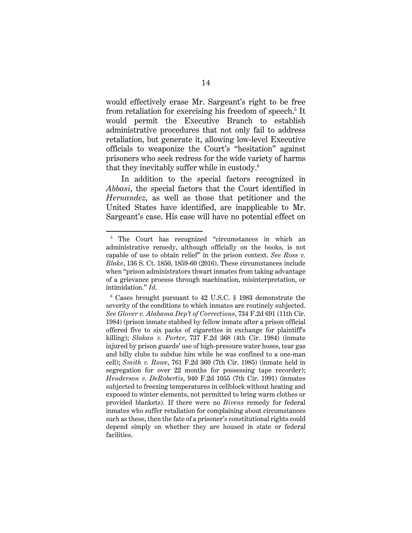would effectively erase Mr. Sargeant's right to be free from retaliation for exercising his freedom of speech.<sup>5</sup> It would permit the Executive Branch to establish administrative procedures that not only fail to address retaliation, but generate it, allowing low-level Executive officials to weaponize the Court's "hesitation" against prisoners who seek redress for the wide variety of harms that they inevitably suffer while in custody.6

In addition to the special factors recognized in *Abbasi*, the special factors that the Court identified in *Hernandez*, as well as those that petitioner and the United States have identified, are inapplicable to Mr. Sargeant's case. His case will have no potential effect on

<sup>&</sup>lt;sup>5</sup> The Court has recognized "circumstances in which an administrative remedy, although officially on the books, is not capable of use to obtain relief" in the prison context. *See Ross v. Blake*, 136 S. Ct. 1850, 1859-60 (2016). These circumstances include when "prison administrators thwart inmates from taking advantage of a grievance process through machination, misinterpretation, or intimidation." *Id*.

<sup>6</sup> Cases brought pursuant to 42 U.S.C. § 1983 demonstrate the severity of the conditions to which inmates are routinely subjected. *See Glover v. Alabama Dep't of Corrections*, 734 F.2d 691 (11th Cir. 1984) (prison inmate stabbed by fellow inmate after a prison official offered five to six packs of cigarettes in exchange for plaintiff's killing); *Slakan v. Porter*, 737 F.2d 368 (4th Cir. 1984) (inmate injured by prison guards' use of high-pressure water hoses, tear gas and billy clubs to subdue him while he was confined to a one-man cell); *Smith v. Rowe*, 761 F.2d 360 (7th Cir. 1985) (inmate held in segregation for over 22 months for possessing tape recorder); *Henderson v. DeRobertis*, 940 F.2d 1055 (7th Cir. 1991) (inmates subjected to freezing temperatures in cellblock without heating and exposed to winter elements, not permitted to bring warm clothes or provided blankets). If there were no *Bivens* remedy for federal inmates who suffer retaliation for complaining about circumstances such as these, then the fate of a prisoner's constitutional rights could depend simply on whether they are housed in state or federal facilities.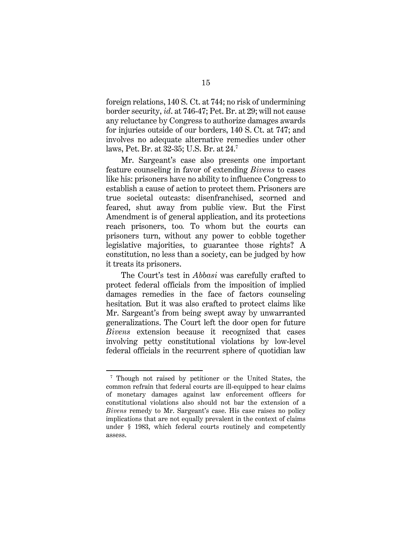foreign relations, 140 S. Ct. at 744; no risk of undermining border security, *id*. at 746-47; Pet. Br. at 29; will not cause any reluctance by Congress to authorize damages awards for injuries outside of our borders, 140 S. Ct. at 747; and involves no adequate alternative remedies under other laws, Pet. Br. at 32-35; U.S. Br. at 24.7

Mr. Sargeant's case also presents one important feature counseling in favor of extending *Bivens* to cases like his: prisoners have no ability to influence Congress to establish a cause of action to protect them. Prisoners are true societal outcasts: disenfranchised, scorned and feared, shut away from public view. But the First Amendment is of general application, and its protections reach prisoners, too*.* To whom but the courts can prisoners turn, without any power to cobble together legislative majorities, to guarantee those rights? A constitution, no less than a society, can be judged by how it treats its prisoners.

The Court's test in *Abbasi* was carefully crafted to protect federal officials from the imposition of implied damages remedies in the face of factors counseling hesitation*.* But it was also crafted to protect claims like Mr. Sargeant's from being swept away by unwarranted generalizations. The Court left the door open for future *Bivens* extension because it recognized that cases involving petty constitutional violations by low-level federal officials in the recurrent sphere of quotidian law

<sup>&</sup>lt;sup>7</sup> Though not raised by petitioner or the United States, the common refrain that federal courts are ill-equipped to hear claims of monetary damages against law enforcement officers for constitutional violations also should not bar the extension of a *Bivens* remedy to Mr. Sargeant's case. His case raises no policy implications that are not equally prevalent in the context of claims under § 1983, which federal courts routinely and competently assess.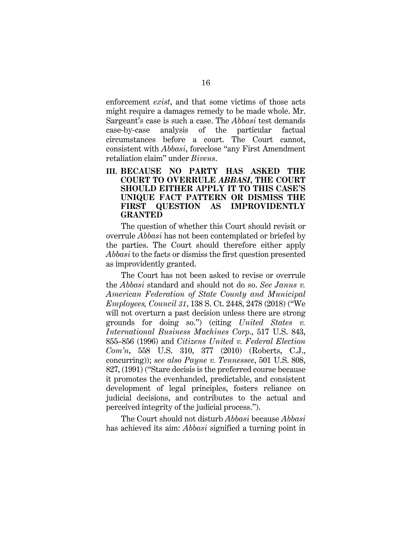enforcement *exist*, and that some victims of those acts might require a damages remedy to be made whole. Mr. Sargeant's case is such a case. The *Abbasi* test demands case-by-case analysis of the particular factual circumstances before a court. The Court cannot, consistent with *Abbasi*, foreclose "any First Amendment retaliation claim" under *Bivens*.

#### **III. BECAUSE NO PARTY HAS ASKED THE COURT TO OVERRULE** *ABBASI***, THE COURT SHOULD EITHER APPLY IT TO THIS CASE'S UNIQUE FACT PATTERN OR DISMISS THE FIRST QUESTION AS IMPROVIDENTLY GRANTED**

The question of whether this Court should revisit or overrule *Abbasi* has not been contemplated or briefed by the parties. The Court should therefore either apply *Abbasi* to the facts or dismiss the first question presented as improvidently granted.

The Court has not been asked to revise or overrule the *Abbasi* standard and should not do so. *See Janus v. American Federation of State County and Municipal Employees, Council 31*, 138 S. Ct. 2448, 2478 (2018) ("We will not overturn a past decision unless there are strong grounds for doing so.") (citing *United States v. International Business Machines Corp*., 517 U.S. 843, 855–856 (1996) and *Citizens United v. Federal Election Com'n*, 558 U.S. 310, 377 (2010) (Roberts, C.J., concurring)); *see also Payne v. Tennessee*, 501 U.S. 808, 827, (1991) ("Stare decisis is the preferred course because it promotes the evenhanded, predictable, and consistent development of legal principles, fosters reliance on judicial decisions, and contributes to the actual and perceived integrity of the judicial process.").

The Court should not disturb *Abbasi* because *Abbasi*  has achieved its aim: *Abbasi* signified a turning point in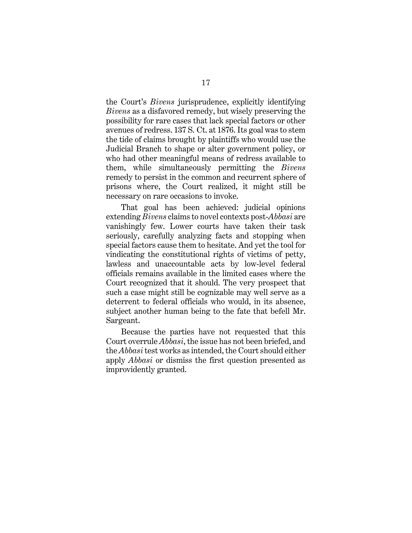the Court's *Bivens* jurisprudence, explicitly identifying *Bivens* as a disfavored remedy, but wisely preserving the possibility for rare cases that lack special factors or other avenues of redress. 137 S. Ct. at 1876. Its goal was to stem the tide of claims brought by plaintiffs who would use the Judicial Branch to shape or alter government policy, or who had other meaningful means of redress available to them, while simultaneously permitting the *Bivens* remedy to persist in the common and recurrent sphere of prisons where, the Court realized, it might still be necessary on rare occasions to invoke.

That goal has been achieved: judicial opinions extending *Bivens* claims to novel contexts post-*Abbasi* are vanishingly few. Lower courts have taken their task seriously, carefully analyzing facts and stopping when special factors cause them to hesitate. And yet the tool for vindicating the constitutional rights of victims of petty, lawless and unaccountable acts by low-level federal officials remains available in the limited cases where the Court recognized that it should. The very prospect that such a case might still be cognizable may well serve as a deterrent to federal officials who would, in its absence, subject another human being to the fate that befell Mr. Sargeant.

Because the parties have not requested that this Court overrule *Abbasi*, the issue has not been briefed, and the *Abbasi* test works as intended, the Court should either apply *Abbasi* or dismiss the first question presented as improvidently granted.